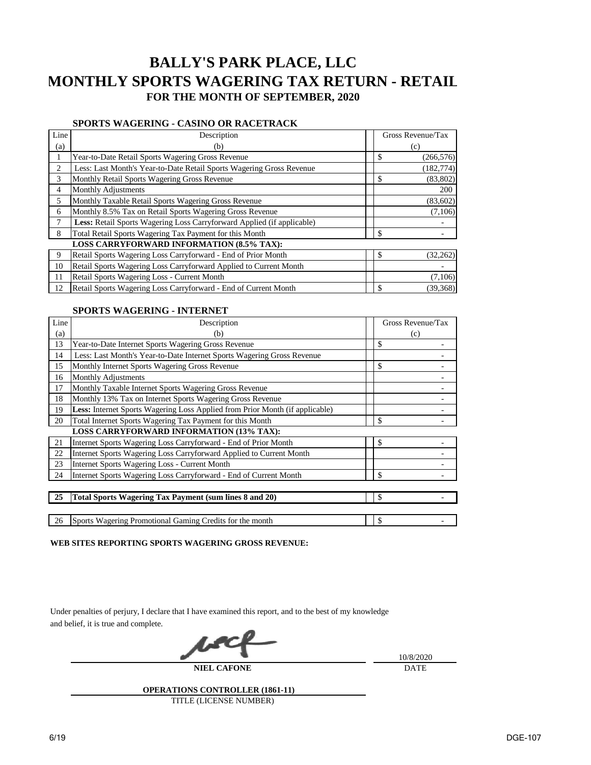# **BALLY'S PARK PLACE, LLC MONTHLY SPORTS WAGERING TAX RETURN - RETAIL FOR THE MONTH OF SEPTEMBER, 2020**

# **SPORTS WAGERING - CASINO OR RACETRACK**

| Line           | Description                                                            | Gross Revenue/Tax |            |
|----------------|------------------------------------------------------------------------|-------------------|------------|
| (a)            | (b)                                                                    |                   | (c)        |
|                | Year-to-Date Retail Sports Wagering Gross Revenue                      | \$                | (266, 576) |
| $\overline{2}$ | Less: Last Month's Year-to-Date Retail Sports Wagering Gross Revenue   |                   | (182, 774) |
| $\overline{3}$ | Monthly Retail Sports Wagering Gross Revenue                           | \$                | (83, 802)  |
| 4              | <b>Monthly Adjustments</b>                                             |                   | 200        |
| 5              | Monthly Taxable Retail Sports Wagering Gross Revenue                   |                   | (83, 602)  |
| 6              | Monthly 8.5% Tax on Retail Sports Wagering Gross Revenue               |                   | (7,106)    |
| 7              | Less: Retail Sports Wagering Loss Carryforward Applied (if applicable) |                   |            |
| 8              | Total Retail Sports Wagering Tax Payment for this Month                | \$                |            |
|                | <b>LOSS CARRYFORWARD INFORMATION (8.5% TAX):</b>                       |                   |            |
| 9              | Retail Sports Wagering Loss Carryforward - End of Prior Month          | \$                | (32, 262)  |
| 10             | Retail Sports Wagering Loss Carryforward Applied to Current Month      |                   |            |
| 11             | Retail Sports Wagering Loss - Current Month                            |                   | (7,106)    |
| 12             | Retail Sports Wagering Loss Carryforward - End of Current Month        | \$                | (39, 368)  |

# **SPORTS WAGERING - INTERNET**

| Line | Description                                                                  | Gross Revenue/Tax |
|------|------------------------------------------------------------------------------|-------------------|
| (a)  | (b)                                                                          | (c)               |
| 13   | Year-to-Date Internet Sports Wagering Gross Revenue                          | \$                |
| 14   | Less: Last Month's Year-to-Date Internet Sports Wagering Gross Revenue       |                   |
| 15   | Monthly Internet Sports Wagering Gross Revenue                               | \$                |
| 16   | Monthly Adjustments                                                          |                   |
| 17   | Monthly Taxable Internet Sports Wagering Gross Revenue                       |                   |
| 18   | Monthly 13% Tax on Internet Sports Wagering Gross Revenue                    |                   |
| 19   | Less: Internet Sports Wagering Loss Applied from Prior Month (if applicable) |                   |
| 20   | Total Internet Sports Wagering Tax Payment for this Month                    | \$                |
|      | <b>LOSS CARRYFORWARD INFORMATION (13% TAX):</b>                              |                   |
| 21   | Internet Sports Wagering Loss Carryforward - End of Prior Month              | \$                |
| 22   | Internet Sports Wagering Loss Carryforward Applied to Current Month          |                   |
| 23   | <b>Internet Sports Wagering Loss - Current Month</b>                         |                   |
| 24   | Internet Sports Wagering Loss Carryforward - End of Current Month            | \$                |
|      |                                                                              |                   |
| 25   | <b>Total Sports Wagering Tax Payment (sum lines 8 and 20)</b>                | \$                |
|      |                                                                              |                   |
| 26   | Sports Wagering Promotional Gaming Credits for the month                     | $\mathcal{S}$     |

### **WEB SITES REPORTING SPORTS WAGERING GROSS REVENUE:**

Under penalties of perjury, I declare that I have examined this report, and to the best of my knowledge and belief, it is true and complete.

**NIEL CAFONE**

10/8/2020 DATE

# **OPERATIONS CONTROLLER (1861-11)**

TITLE (LICENSE NUMBER)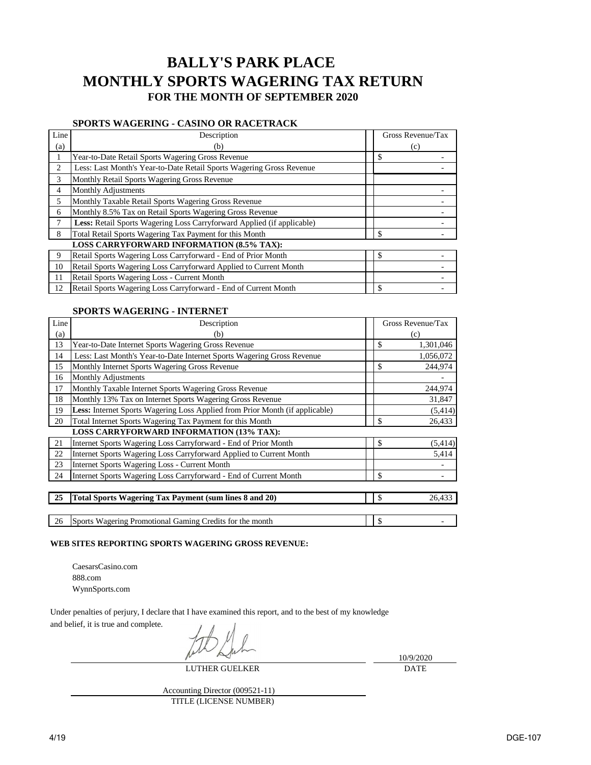# **BALLY'S PARK PLACE MONTHLY SPORTS WAGERING TAX RETURN FOR THE MONTH OF SEPTEMBER 2020**

## **SPORTS WAGERING - CASINO OR RACETRACK**

| Line | Description                                                                   | Gross Revenue/Tax         |
|------|-------------------------------------------------------------------------------|---------------------------|
| (a)  | (b)                                                                           | (c)                       |
|      | Year-to-Date Retail Sports Wagering Gross Revenue                             | $\mathcal{S}$             |
| 2    | Less: Last Month's Year-to-Date Retail Sports Wagering Gross Revenue          |                           |
| 3    | Monthly Retail Sports Wagering Gross Revenue                                  |                           |
| 4    | Monthly Adjustments                                                           |                           |
| 5    | Monthly Taxable Retail Sports Wagering Gross Revenue                          |                           |
| 6    | Monthly 8.5% Tax on Retail Sports Wagering Gross Revenue                      |                           |
| 7    | <b>Less:</b> Retail Sports Wagering Loss Carryforward Applied (if applicable) |                           |
| 8    | Total Retail Sports Wagering Tax Payment for this Month                       | $\mathcal{S}$             |
|      | <b>LOSS CARRYFORWARD INFORMATION (8.5% TAX):</b>                              |                           |
| 9    | Retail Sports Wagering Loss Carryforward - End of Prior Month                 | $\boldsymbol{\mathsf{S}}$ |
| 10   | Retail Sports Wagering Loss Carryforward Applied to Current Month             |                           |
| 11   | Retail Sports Wagering Loss - Current Month                                   |                           |
| 12   | Retail Sports Wagering Loss Carryforward - End of Current Month               |                           |

### **SPORTS WAGERING - INTERNET**

| Line                     | Description                                                                  | Gross Revenue/Tax                     |
|--------------------------|------------------------------------------------------------------------------|---------------------------------------|
| $\left( \text{a}\right)$ | (b)                                                                          | (c)                                   |
| 13                       | Year-to-Date Internet Sports Wagering Gross Revenue                          | $\mathcal{S}$<br>1,301,046            |
| 14                       | Less: Last Month's Year-to-Date Internet Sports Wagering Gross Revenue       | 1,056,072                             |
| 15                       | Monthly Internet Sports Wagering Gross Revenue                               | $\boldsymbol{\mathsf{S}}$<br>244,974  |
| 16                       | Monthly Adjustments                                                          |                                       |
| 17                       | Monthly Taxable Internet Sports Wagering Gross Revenue                       | 244,974                               |
| 18                       | Monthly 13% Tax on Internet Sports Wagering Gross Revenue                    | 31,847                                |
| 19                       | Less: Internet Sports Wagering Loss Applied from Prior Month (if applicable) | (5, 414)                              |
| 20                       | Total Internet Sports Wagering Tax Payment for this Month                    | $\mathcal{S}$<br>26,433               |
|                          | <b>LOSS CARRYFORWARD INFORMATION (13% TAX):</b>                              |                                       |
| 21                       | Internet Sports Wagering Loss Carryforward - End of Prior Month              | $\boldsymbol{\mathsf{S}}$<br>(5, 414) |
| 22                       | Internet Sports Wagering Loss Carryforward Applied to Current Month          | 5,414                                 |
| 23                       | <b>Internet Sports Wagering Loss - Current Month</b>                         |                                       |
| 24                       | Internet Sports Wagering Loss Carryforward - End of Current Month            | $\mathcal{S}$                         |
|                          |                                                                              |                                       |
| 25                       | <b>Total Sports Wagering Tax Payment (sum lines 8 and 20)</b>                | $\mathcal{S}$<br>26,433               |
|                          |                                                                              |                                       |
| 26                       | Sports Wagering Promotional Gaming Credits for the month                     | $\mathcal{S}$                         |

### **WEB SITES REPORTING SPORTS WAGERING GROSS REVENUE:**

CaesarsCasino.com 888.com WynnSports.com

Under penalties of perjury, I declare that I have examined this report, and to the best of my knowledge

and belief, it is true and complete.

LUTHER GUELKER

10/9/2020 DATE

Accounting Director (009521-11) TITLE (LICENSE NUMBER)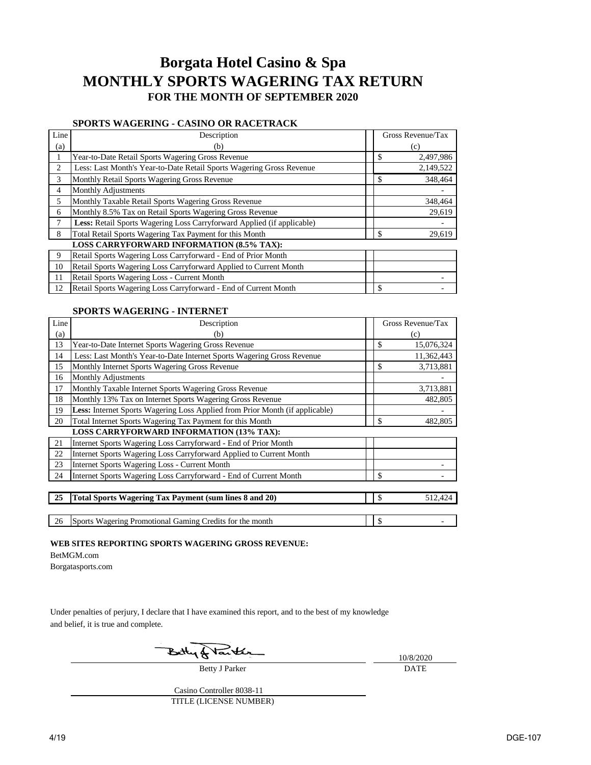# **Borgata Hotel Casino & Spa MONTHLY SPORTS WAGERING TAX RETURN FOR THE MONTH OF SEPTEMBER 2020**

## **SPORTS WAGERING - CASINO OR RACETRACK**

| Line | Description                                                            | Gross Revenue/Tax          |
|------|------------------------------------------------------------------------|----------------------------|
| (a)  | (b)                                                                    | (c)                        |
|      | Year-to-Date Retail Sports Wagering Gross Revenue                      | $\mathcal{S}$<br>2,497,986 |
| 2    | Less: Last Month's Year-to-Date Retail Sports Wagering Gross Revenue   | 2,149,522                  |
| 3    | Monthly Retail Sports Wagering Gross Revenue                           | \$<br>348,464              |
| 4    | <b>Monthly Adjustments</b>                                             |                            |
| 5    | Monthly Taxable Retail Sports Wagering Gross Revenue                   | 348,464                    |
| 6    | Monthly 8.5% Tax on Retail Sports Wagering Gross Revenue               | 29,619                     |
| 7    | Less: Retail Sports Wagering Loss Carryforward Applied (if applicable) |                            |
| 8    | Total Retail Sports Wagering Tax Payment for this Month                | \$<br>29,619               |
|      | <b>LOSS CARRYFORWARD INFORMATION (8.5% TAX):</b>                       |                            |
| 9    | Retail Sports Wagering Loss Carryforward - End of Prior Month          |                            |
| 10   | Retail Sports Wagering Loss Carryforward Applied to Current Month      |                            |
| 11   | Retail Sports Wagering Loss - Current Month                            |                            |
| 12   | Retail Sports Wagering Loss Carryforward - End of Current Month        | $\mathcal{S}$              |

### **SPORTS WAGERING - INTERNET**

| Line | Description                                                                  |                           | Gross Revenue/Tax |
|------|------------------------------------------------------------------------------|---------------------------|-------------------|
| (a)  | (b)                                                                          |                           | (c)               |
| 13   | Year-to-Date Internet Sports Wagering Gross Revenue                          | $\mathcal{S}$             | 15,076,324        |
| 14   | Less: Last Month's Year-to-Date Internet Sports Wagering Gross Revenue       |                           | 11,362,443        |
| 15   | Monthly Internet Sports Wagering Gross Revenue                               | $\mathcal{S}$             | 3,713,881         |
| 16   | <b>Monthly Adjustments</b>                                                   |                           |                   |
| 17   | Monthly Taxable Internet Sports Wagering Gross Revenue                       |                           | 3,713,881         |
| 18   | Monthly 13% Tax on Internet Sports Wagering Gross Revenue                    |                           | 482,805           |
| 19   | Less: Internet Sports Wagering Loss Applied from Prior Month (if applicable) |                           |                   |
| 20   | Total Internet Sports Wagering Tax Payment for this Month                    | $\boldsymbol{\mathsf{S}}$ | 482,805           |
|      | <b>LOSS CARRYFORWARD INFORMATION (13% TAX):</b>                              |                           |                   |
| 21   | Internet Sports Wagering Loss Carryforward - End of Prior Month              |                           |                   |
| 22   | Internet Sports Wagering Loss Carryforward Applied to Current Month          |                           |                   |
| 23   | <b>Internet Sports Wagering Loss - Current Month</b>                         |                           |                   |
| 24   | Internet Sports Wagering Loss Carryforward - End of Current Month            | $\mathcal{S}$             |                   |
|      |                                                                              |                           |                   |
| 25   | Total Sports Wagering Tax Payment (sum lines 8 and 20)                       | $\mathcal{S}$             | 512,424           |
|      |                                                                              |                           |                   |
| 26   | Sports Wagering Promotional Gaming Credits for the month                     | $\mathcal{S}$             |                   |

### **WEB SITES REPORTING SPORTS WAGERING GROSS REVENUE:**

BetMGM.com

Borgatasports.com

Under penalties of perjury, I declare that I have examined this report, and to the best of my knowledge and belief, it is true and complete.

Batty of tarkt

Betty J Parker

10/8/2020 DATE

| Casino Controller 8038-11 |  |
|---------------------------|--|
| TITLE (LICENSE NUMBER)    |  |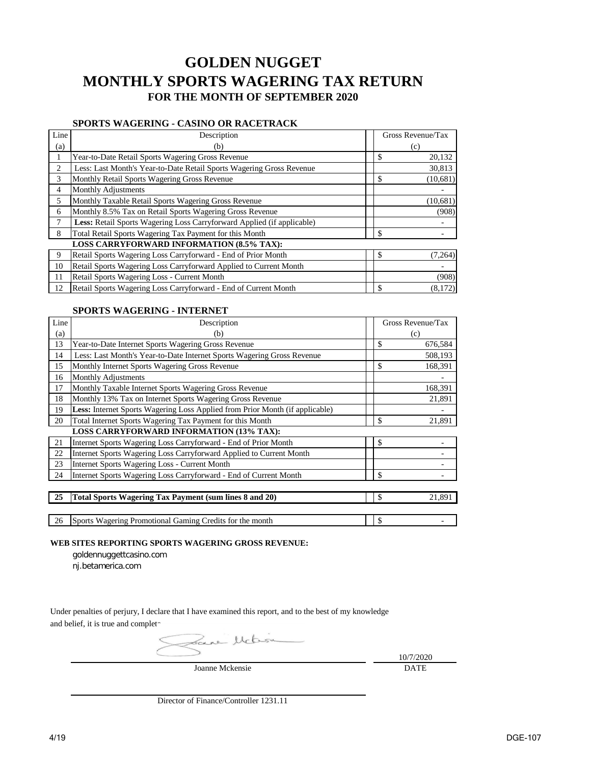# **GOLDEN NUGGET MONTHLY SPORTS WAGERING TAX RETURN FOR THE MONTH OF SEPTEMBER 2020**

### **SPORTS WAGERING - CASINO OR RACETRACK**

| Line           | Description                                                            | Gross Revenue/Tax |           |
|----------------|------------------------------------------------------------------------|-------------------|-----------|
| (a)            | (b)                                                                    |                   | (c)       |
|                | Year-to-Date Retail Sports Wagering Gross Revenue                      | \$                | 20,132    |
| $\overline{2}$ | Less: Last Month's Year-to-Date Retail Sports Wagering Gross Revenue   |                   | 30,813    |
| 3              | Monthly Retail Sports Wagering Gross Revenue                           | \$                | (10, 681) |
| $\overline{4}$ | <b>Monthly Adjustments</b>                                             |                   |           |
| 5              | Monthly Taxable Retail Sports Wagering Gross Revenue                   |                   | (10, 681) |
| 6              | Monthly 8.5% Tax on Retail Sports Wagering Gross Revenue               |                   | (908)     |
| 7              | Less: Retail Sports Wagering Loss Carryforward Applied (if applicable) |                   |           |
| 8              | Total Retail Sports Wagering Tax Payment for this Month                | \$                |           |
|                | <b>LOSS CARRYFORWARD INFORMATION (8.5% TAX):</b>                       |                   |           |
| 9              | Retail Sports Wagering Loss Carryforward - End of Prior Month          | \$                | (7,264)   |
| 10             | Retail Sports Wagering Loss Carryforward Applied to Current Month      |                   |           |
| 11             | Retail Sports Wagering Loss - Current Month                            |                   | (908)     |
| 12             | Retail Sports Wagering Loss Carryforward - End of Current Month        | \$                | (8,172)   |

### **SPORTS WAGERING - INTERNET**

| Line | Description                                                                         | Gross Revenue/Tax |
|------|-------------------------------------------------------------------------------------|-------------------|
| (a)  | (b)                                                                                 | (c)               |
| 13   | Year-to-Date Internet Sports Wagering Gross Revenue                                 | \$<br>676,584     |
| 14   | Less: Last Month's Year-to-Date Internet Sports Wagering Gross Revenue              | 508,193           |
| 15   | Monthly Internet Sports Wagering Gross Revenue                                      | \$<br>168,391     |
| 16   | <b>Monthly Adjustments</b>                                                          |                   |
| 17   | Monthly Taxable Internet Sports Wagering Gross Revenue                              | 168,391           |
| 18   | Monthly 13% Tax on Internet Sports Wagering Gross Revenue                           | 21,891            |
| 19   | <b>Less:</b> Internet Sports Wagering Loss Applied from Prior Month (if applicable) |                   |
| 20   | Total Internet Sports Wagering Tax Payment for this Month                           | \$<br>21,891      |
|      | <b>LOSS CARRYFORWARD INFORMATION (13% TAX):</b>                                     |                   |
| 21   | Internet Sports Wagering Loss Carryforward - End of Prior Month                     | \$                |
| 22   | Internet Sports Wagering Loss Carryforward Applied to Current Month                 |                   |
| 23   | Internet Sports Wagering Loss - Current Month                                       |                   |
| 24   | Internet Sports Wagering Loss Carryforward - End of Current Month                   | \$                |
|      |                                                                                     |                   |
| 25   | <b>Total Sports Wagering Tax Payment (sum lines 8 and 20)</b>                       | \$<br>21,891      |
|      |                                                                                     |                   |
| 26   | Sports Wagering Promotional Gaming Credits for the month                            | \$                |

**WEB SITES REPORTING SPORTS WAGERING GROSS REVENUE:**

goldennuggettcasino.com

nj.betamerica.com

Under penalties of perjury, I declare that I have examined this report, and to the best of my knowledge and belief, it is true and complete.

Joanne Mckensie

10/7/2020 DATE

Director of Finance/Controller 1231.11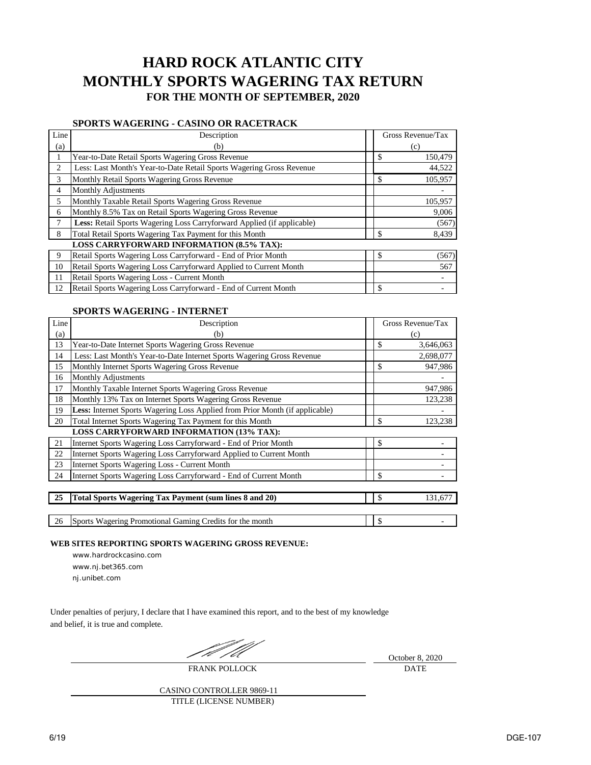# **HARD ROCK ATLANTIC CITY MONTHLY SPORTS WAGERING TAX RETURN FOR THE MONTH OF SEPTEMBER, 2020**

## **SPORTS WAGERING - CASINO OR RACETRACK**

| Line           | Description                                                            | Gross Revenue/Tax |         |
|----------------|------------------------------------------------------------------------|-------------------|---------|
| (a)            | (b)                                                                    |                   | (c)     |
|                | Year-to-Date Retail Sports Wagering Gross Revenue                      | \$                | 150,479 |
| $\overline{2}$ | Less: Last Month's Year-to-Date Retail Sports Wagering Gross Revenue   |                   | 44,522  |
| 3              | Monthly Retail Sports Wagering Gross Revenue                           | \$                | 105,957 |
| 4              | <b>Monthly Adjustments</b>                                             |                   |         |
| 5              | Monthly Taxable Retail Sports Wagering Gross Revenue                   |                   | 105,957 |
| 6              | Monthly 8.5% Tax on Retail Sports Wagering Gross Revenue               |                   | 9,006   |
| 7              | Less: Retail Sports Wagering Loss Carryforward Applied (if applicable) |                   | (567)   |
| 8              | Total Retail Sports Wagering Tax Payment for this Month                | \$                | 8,439   |
|                | LOSS CARRYFORWARD INFORMATION (8.5% TAX):                              |                   |         |
| 9              | Retail Sports Wagering Loss Carryforward - End of Prior Month          | \$                | (567)   |
| 10             | Retail Sports Wagering Loss Carryforward Applied to Current Month      |                   | 567     |
| 11             | Retail Sports Wagering Loss - Current Month                            |                   |         |
| 12             | Retail Sports Wagering Loss Carryforward - End of Current Month        | \$                |         |

### **SPORTS WAGERING - INTERNET**

| Line | Description                                                                  |               | Gross Revenue/Tax |
|------|------------------------------------------------------------------------------|---------------|-------------------|
| (a)  | (b)                                                                          |               | (c)               |
| 13   | Year-to-Date Internet Sports Wagering Gross Revenue                          | \$            | 3,646,063         |
| 14   | Less: Last Month's Year-to-Date Internet Sports Wagering Gross Revenue       |               | 2,698,077         |
| 15   | Monthly Internet Sports Wagering Gross Revenue                               | $\mathcal{S}$ | 947,986           |
| 16   | <b>Monthly Adjustments</b>                                                   |               |                   |
| 17   | Monthly Taxable Internet Sports Wagering Gross Revenue                       |               | 947,986           |
| 18   | Monthly 13% Tax on Internet Sports Wagering Gross Revenue                    |               | 123,238           |
| 19   | Less: Internet Sports Wagering Loss Applied from Prior Month (if applicable) |               |                   |
| 20   | Total Internet Sports Wagering Tax Payment for this Month                    | \$            | 123,238           |
|      | <b>LOSS CARRYFORWARD INFORMATION (13% TAX):</b>                              |               |                   |
| 21   | Internet Sports Wagering Loss Carryforward - End of Prior Month              | \$            |                   |
| 22   | Internet Sports Wagering Loss Carryforward Applied to Current Month          |               |                   |
| 23   | <b>Internet Sports Wagering Loss - Current Month</b>                         |               |                   |
| 24   | Internet Sports Wagering Loss Carryforward - End of Current Month            | $\mathcal{S}$ |                   |
|      |                                                                              |               |                   |
| 25   | <b>Total Sports Wagering Tax Payment (sum lines 8 and 20)</b>                | \$            | 131,677           |
|      |                                                                              |               |                   |
| 26   | Sports Wagering Promotional Gaming Credits for the month                     | \$            |                   |

### **WEB SITES REPORTING SPORTS WAGERING GROSS REVENUE:**

www.hardrockcasino.com www.nj.bet365.com nj.unibet.com

Under penalties of perjury, I declare that I have examined this report, and to the best of my knowledge and belief, it is true and complete.

October 8, 2020 DATE

FRANK POLLOCK

CASINO CONTROLLER 9869-11

TITLE (LICENSE NUMBER)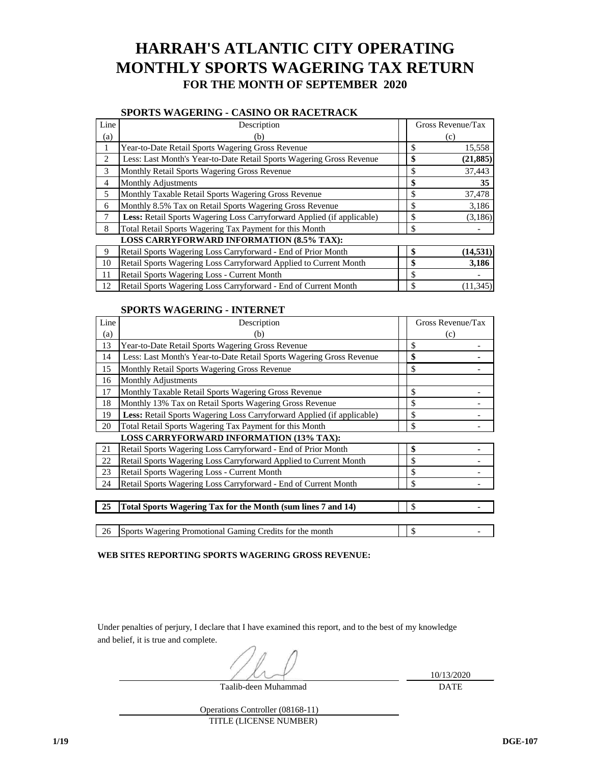# **HARRAH'S ATLANTIC CITY OPERATING MONTHLY SPORTS WAGERING TAX RETURN FOR THE MONTH OF SEPTEMBER 2020**

### **SPORTS WAGERING - CASINO OR RACETRACK**

| Line           | Description                                                            | Gross Revenue/Tax |           |
|----------------|------------------------------------------------------------------------|-------------------|-----------|
| (a)            | (b)                                                                    | (c)               |           |
|                | Year-to-Date Retail Sports Wagering Gross Revenue                      | \$                | 15,558    |
| 2              | Less: Last Month's Year-to-Date Retail Sports Wagering Gross Revenue   | \$                | (21, 885) |
| 3              | Monthly Retail Sports Wagering Gross Revenue                           | \$                | 37,443    |
| $\overline{4}$ | <b>Monthly Adjustments</b>                                             | \$                | 35        |
| 5              | Monthly Taxable Retail Sports Wagering Gross Revenue                   | \$                | 37,478    |
| 6              | Monthly 8.5% Tax on Retail Sports Wagering Gross Revenue               | \$                | 3,186     |
| 7              | Less: Retail Sports Wagering Loss Carryforward Applied (if applicable) | \$                | (3, 186)  |
| 8              | Total Retail Sports Wagering Tax Payment for this Month                | \$                |           |
|                | <b>LOSS CARRYFORWARD INFORMATION (8.5% TAX):</b>                       |                   |           |
| 9              | Retail Sports Wagering Loss Carryforward - End of Prior Month          | \$                | (14, 531) |
| 10             | Retail Sports Wagering Loss Carryforward Applied to Current Month      | \$                | 3,186     |
| 11             | Retail Sports Wagering Loss - Current Month                            | \$                |           |
| 12             | Retail Sports Wagering Loss Carryforward - End of Current Month        | \$                | (11, 345) |

#### **SPORTS WAGERING - INTERNET**

| Line | Description                                                            | Gross Revenue/Tax |
|------|------------------------------------------------------------------------|-------------------|
| (a)  | (b)                                                                    | (c)               |
| 13   | Year-to-Date Retail Sports Wagering Gross Revenue                      | \$                |
| 14   | Less: Last Month's Year-to-Date Retail Sports Wagering Gross Revenue   | \$                |
| 15   | Monthly Retail Sports Wagering Gross Revenue                           | \$                |
| 16   | <b>Monthly Adjustments</b>                                             |                   |
| 17   | Monthly Taxable Retail Sports Wagering Gross Revenue                   | \$                |
| 18   | Monthly 13% Tax on Retail Sports Wagering Gross Revenue                | \$                |
| 19   | Less: Retail Sports Wagering Loss Carryforward Applied (if applicable) | \$                |
| 20   | Total Retail Sports Wagering Tax Payment for this Month                | \$                |
|      | LOSS CARRYFORWARD INFORMATION (13% TAX):                               |                   |
| 21   | Retail Sports Wagering Loss Carryforward - End of Prior Month          | \$                |
| 22   | Retail Sports Wagering Loss Carryforward Applied to Current Month      | \$                |
| 23   | Retail Sports Wagering Loss - Current Month                            | \$                |
| 24   | Retail Sports Wagering Loss Carryforward - End of Current Month        | \$                |
|      |                                                                        |                   |
| 25   | Total Sports Wagering Tax for the Month (sum lines 7 and 14)           | \$                |
|      |                                                                        |                   |
| 26   | Sports Wagering Promotional Gaming Credits for the month               | \$                |

**WEB SITES REPORTING SPORTS WAGERING GROSS REVENUE:**

Under penalties of perjury, I declare that I have examined this report, and to the best of my knowledge and belief, it is true and complete.

Taalib-deen Muhammad

10/13/2020 DATE

Operations Controller (08168-11) TITLE (LICENSE NUMBER)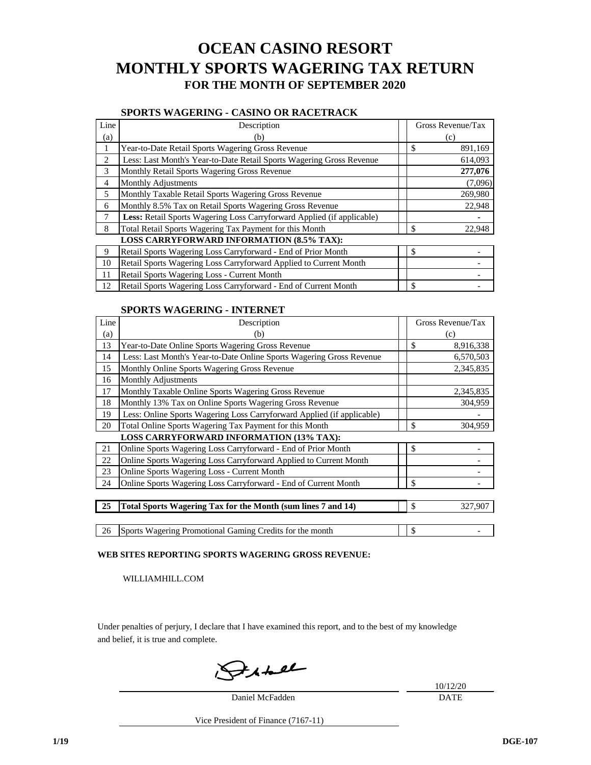# **OCEAN CASINO RESORT MONTHLY SPORTS WAGERING TAX RETURN FOR THE MONTH OF SEPTEMBER 2020**

### **SPORTS WAGERING - CASINO OR RACETRACK**

| Line           | Description                                                            | Gross Revenue/Tax |
|----------------|------------------------------------------------------------------------|-------------------|
| (a)            | (b)                                                                    | (c)               |
|                | Year-to-Date Retail Sports Wagering Gross Revenue                      | \$<br>891,169     |
| $\overline{2}$ | Less: Last Month's Year-to-Date Retail Sports Wagering Gross Revenue   | 614,093           |
| 3              | Monthly Retail Sports Wagering Gross Revenue                           | 277,076           |
| 4              | <b>Monthly Adjustments</b>                                             | (7,096)           |
| 5              | Monthly Taxable Retail Sports Wagering Gross Revenue                   | 269,980           |
| 6              | Monthly 8.5% Tax on Retail Sports Wagering Gross Revenue               | 22,948            |
| 7              | Less: Retail Sports Wagering Loss Carryforward Applied (if applicable) |                   |
| 8              | Total Retail Sports Wagering Tax Payment for this Month                | \$<br>22,948      |
|                | <b>LOSS CARRYFORWARD INFORMATION (8.5% TAX):</b>                       |                   |
| 9              | Retail Sports Wagering Loss Carryforward - End of Prior Month          | \$                |
| 10             | Retail Sports Wagering Loss Carryforward Applied to Current Month      |                   |
| 11             | Retail Sports Wagering Loss - Current Month                            |                   |
| 12             | Retail Sports Wagering Loss Carryforward - End of Current Month        | \$                |

#### **SPORTS WAGERING - INTERNET**

| Line | Description                                                            | Gross Revenue/Tax |
|------|------------------------------------------------------------------------|-------------------|
| (a)  | (b)                                                                    | (c)               |
| 13   | Year-to-Date Online Sports Wagering Gross Revenue                      | \$<br>8,916,338   |
| 14   | Less: Last Month's Year-to-Date Online Sports Wagering Gross Revenue   | 6,570,503         |
| 15   | Monthly Online Sports Wagering Gross Revenue                           | 2,345,835         |
| 16   | <b>Monthly Adjustments</b>                                             |                   |
| 17   | Monthly Taxable Online Sports Wagering Gross Revenue                   | 2,345,835         |
| 18   | Monthly 13% Tax on Online Sports Wagering Gross Revenue                | 304,959           |
| 19   | Less: Online Sports Wagering Loss Carryforward Applied (if applicable) |                   |
| 20   | Total Online Sports Wagering Tax Payment for this Month                | \$<br>304,959     |
|      | <b>LOSS CARRYFORWARD INFORMATION (13% TAX):</b>                        |                   |
| 21   | Online Sports Wagering Loss Carryforward - End of Prior Month          | \$                |
| 22   | Online Sports Wagering Loss Carryforward Applied to Current Month      |                   |
| 23   | Online Sports Wagering Loss - Current Month                            |                   |
| 24   | Online Sports Wagering Loss Carryforward - End of Current Month        | \$                |
|      |                                                                        |                   |
| 25   | Total Sports Wagering Tax for the Month (sum lines 7 and 14)           | \$<br>327,907     |
|      |                                                                        |                   |
| 26   | Sports Wagering Promotional Gaming Credits for the month               | \$                |

#### **WEB SITES REPORTING SPORTS WAGERING GROSS REVENUE:**

WILLIAMHILL.COM

Under penalties of perjury, I declare that I have examined this report, and to the best of my knowledge and belief, it is true and complete.

 $\mathcal{F}_{\mathcal{A}}$  for  $\mathcal{F}_{\mathcal{A}}$ 

10/12/20 DATE

Daniel McFadden

Vice President of Finance (7167-11)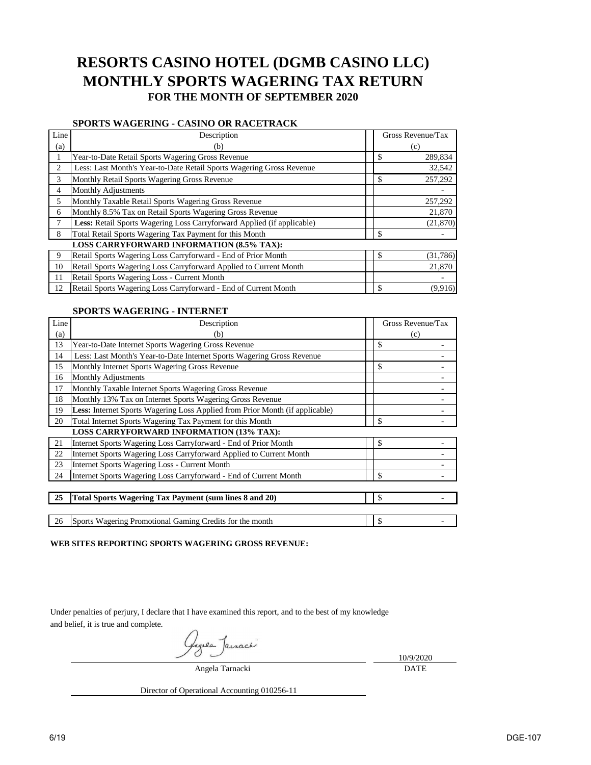# **RESORTS CASINO HOTEL (DGMB CASINO LLC) MONTHLY SPORTS WAGERING TAX RETURN FOR THE MONTH OF SEPTEMBER 2020**

# **SPORTS WAGERING - CASINO OR RACETRACK**

| Line           | Description                                                            | Gross Revenue/Tax        |
|----------------|------------------------------------------------------------------------|--------------------------|
| (a)            | (b)                                                                    | (c)                      |
|                | Year-to-Date Retail Sports Wagering Gross Revenue                      | \$<br>289,834            |
| 2              | Less: Last Month's Year-to-Date Retail Sports Wagering Gross Revenue   | 32,542                   |
| 3              | Monthly Retail Sports Wagering Gross Revenue                           | \$<br>257,292            |
| $\overline{4}$ | <b>Monthly Adjustments</b>                                             |                          |
| 5              | Monthly Taxable Retail Sports Wagering Gross Revenue                   | 257,292                  |
| 6              | Monthly 8.5% Tax on Retail Sports Wagering Gross Revenue               | 21,870                   |
| 7              | Less: Retail Sports Wagering Loss Carryforward Applied (if applicable) | (21, 870)                |
| 8              | Total Retail Sports Wagering Tax Payment for this Month                | \$                       |
|                | LOSS CARRYFORWARD INFORMATION (8.5% TAX):                              |                          |
| 9              | Retail Sports Wagering Loss Carryforward - End of Prior Month          | \$<br>(31,786)           |
| 10             | Retail Sports Wagering Loss Carryforward Applied to Current Month      | 21,870                   |
| 11             | Retail Sports Wagering Loss - Current Month                            | $\overline{\phantom{a}}$ |
| 12             | Retail Sports Wagering Loss Carryforward - End of Current Month        | \$<br>(9,916)            |

### **SPORTS WAGERING - INTERNET**

| Line                     | Description                                                                  | Gross Revenue/Tax |
|--------------------------|------------------------------------------------------------------------------|-------------------|
| $\left( \text{a}\right)$ | (b)                                                                          | (c)               |
| 13                       | Year-to-Date Internet Sports Wagering Gross Revenue                          | \$                |
| 14                       | Less: Last Month's Year-to-Date Internet Sports Wagering Gross Revenue       |                   |
| 15                       | Monthly Internet Sports Wagering Gross Revenue                               | $\mathbb{S}$      |
| 16                       | Monthly Adjustments                                                          |                   |
| 17                       | Monthly Taxable Internet Sports Wagering Gross Revenue                       |                   |
| 18                       | Monthly 13% Tax on Internet Sports Wagering Gross Revenue                    |                   |
| 19                       | Less: Internet Sports Wagering Loss Applied from Prior Month (if applicable) |                   |
| 20                       | Total Internet Sports Wagering Tax Payment for this Month                    | \$                |
|                          | <b>LOSS CARRYFORWARD INFORMATION (13% TAX):</b>                              |                   |
| 21                       | Internet Sports Wagering Loss Carryforward - End of Prior Month              | \$                |
| 22                       | Internet Sports Wagering Loss Carryforward Applied to Current Month          |                   |
| 23                       | <b>Internet Sports Wagering Loss - Current Month</b>                         |                   |
| 24                       | Internet Sports Wagering Loss Carryforward - End of Current Month            | \$                |
|                          |                                                                              |                   |
| 25                       | <b>Total Sports Wagering Tax Payment (sum lines 8 and 20)</b>                | \$                |
|                          |                                                                              |                   |
| 26                       | Sports Wagering Promotional Gaming Credits for the month                     | \$                |

### **WEB SITES REPORTING SPORTS WAGERING GROSS REVENUE:**

Under penalties of perjury, I declare that I have examined this report, and to the best of my knowledge and belief, it is true and complete.

Angela Tarnacki

10/9/2020 DATE

Director of Operational Accounting 010256-11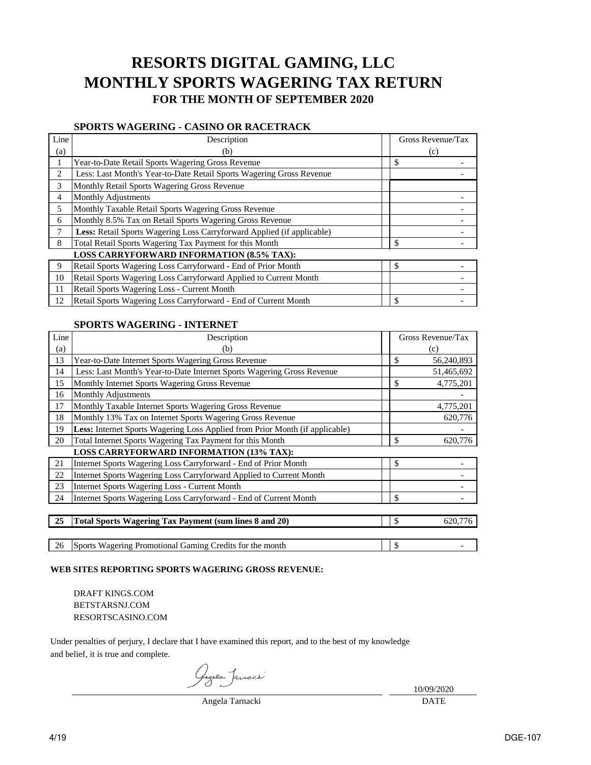# **RESORTS DIGITAL GAMING, LLC MONTHLY SPORTS WAGERING TAX RETURN FOR THE MONTH OF SEPTEMBER 2020**

### **SPORTS WAGERING - CASINO OR RACETRACK**

| Line           | Description                                                            | Gross Revenue/Tax |
|----------------|------------------------------------------------------------------------|-------------------|
| (a)            | (b)                                                                    | (c)               |
|                | Year-to-Date Retail Sports Wagering Gross Revenue                      | \$                |
| 2              | Less: Last Month's Year-to-Date Retail Sports Wagering Gross Revenue   |                   |
| 3              | Monthly Retail Sports Wagering Gross Revenue                           |                   |
| $\overline{4}$ | <b>Monthly Adjustments</b>                                             |                   |
| 5              | Monthly Taxable Retail Sports Wagering Gross Revenue                   |                   |
| 6              | Monthly 8.5% Tax on Retail Sports Wagering Gross Revenue               |                   |
|                | Less: Retail Sports Wagering Loss Carryforward Applied (if applicable) |                   |
| 8              | Total Retail Sports Wagering Tax Payment for this Month                | S                 |
|                | <b>LOSS CARRYFORWARD INFORMATION (8.5% TAX):</b>                       |                   |
| 9              | Retail Sports Wagering Loss Carryforward - End of Prior Month          | $\mathcal{S}$     |
| 10             | Retail Sports Wagering Loss Carryforward Applied to Current Month      |                   |
| 11             | Retail Sports Wagering Loss - Current Month                            |                   |
| 12             | Retail Sports Wagering Loss Carryforward - End of Current Month        |                   |

### **SPORTS WAGERING - INTERNET**

| Line | Description                                                                  |               | Gross Revenue/Tax |
|------|------------------------------------------------------------------------------|---------------|-------------------|
| (a)  | (b)                                                                          |               | (c)               |
| 13   | Year-to-Date Internet Sports Wagering Gross Revenue                          | \$            | 56,240,893        |
| 14   | Less: Last Month's Year-to-Date Internet Sports Wagering Gross Revenue       |               | 51,465,692        |
| 15   | Monthly Internet Sports Wagering Gross Revenue                               | $\mathbb{S}$  | 4,775,201         |
| 16   | Monthly Adjustments                                                          |               |                   |
| 17   | Monthly Taxable Internet Sports Wagering Gross Revenue                       |               | 4,775,201         |
| 18   | Monthly 13% Tax on Internet Sports Wagering Gross Revenue                    |               | 620,776           |
| 19   | Less: Internet Sports Wagering Loss Applied from Prior Month (if applicable) |               |                   |
| 20   | Total Internet Sports Wagering Tax Payment for this Month                    | \$            | 620,776           |
|      | <b>LOSS CARRYFORWARD INFORMATION (13% TAX):</b>                              |               |                   |
| 21   | Internet Sports Wagering Loss Carryforward - End of Prior Month              | \$            |                   |
| 22   | Internet Sports Wagering Loss Carryforward Applied to Current Month          |               |                   |
| 23   | <b>Internet Sports Wagering Loss - Current Month</b>                         |               |                   |
| 24   | Internet Sports Wagering Loss Carryforward - End of Current Month            | $\mathcal{S}$ |                   |
|      |                                                                              |               |                   |
| 25   | <b>Total Sports Wagering Tax Payment (sum lines 8 and 20)</b>                | \$            | 620,776           |
|      |                                                                              |               |                   |
| 26   | Sports Wagering Promotional Gaming Credits for the month                     | \$            |                   |

### **WEB SITES REPORTING SPORTS WAGERING GROSS REVENUE:**

### DRAFT KINGS.COM BETSTARSNJ.COM RESORTSCASINO.COM

Under penalties of perjury, I declare that I have examined this report, and to the best of my knowledge and belief, it is true and complete.

gela Jarrach

Angela Tarnacki

10/09/2020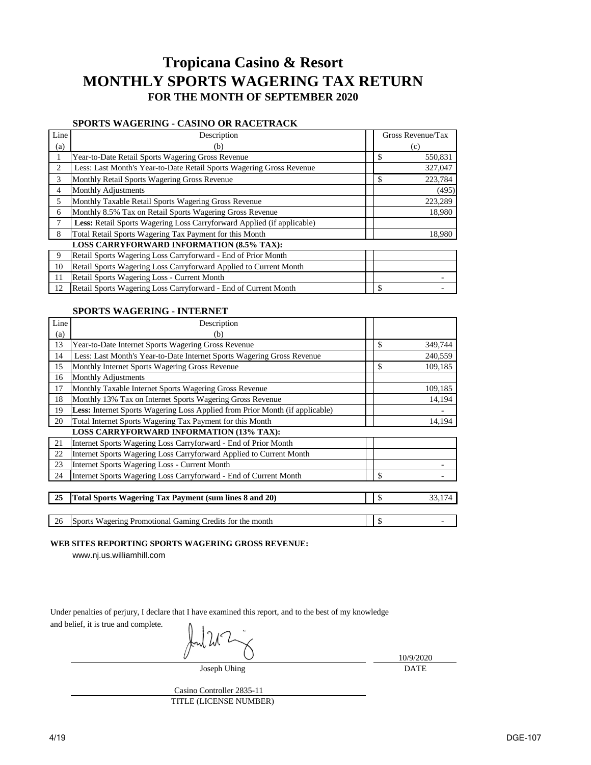# **Tropicana Casino & Resort MONTHLY SPORTS WAGERING TAX RETURN FOR THE MONTH OF SEPTEMBER 2020**

# **SPORTS WAGERING - CASINO OR RACETRACK**

| Line | Description                                                            | Gross Revenue/Tax |
|------|------------------------------------------------------------------------|-------------------|
| (a)  | (b)                                                                    | (c)               |
|      | Year-to-Date Retail Sports Wagering Gross Revenue                      | \$<br>550,831     |
| 2    | Less: Last Month's Year-to-Date Retail Sports Wagering Gross Revenue   | 327,047           |
| 3    | Monthly Retail Sports Wagering Gross Revenue                           | \$<br>223,784     |
| 4    | Monthly Adjustments                                                    | (495)             |
| 5    | Monthly Taxable Retail Sports Wagering Gross Revenue                   | 223,289           |
| 6    | Monthly 8.5% Tax on Retail Sports Wagering Gross Revenue               | 18,980            |
| 7    | Less: Retail Sports Wagering Loss Carryforward Applied (if applicable) |                   |
| 8    | Total Retail Sports Wagering Tax Payment for this Month                | 18,980            |
|      | <b>LOSS CARRYFORWARD INFORMATION (8.5% TAX):</b>                       |                   |
| 9    | Retail Sports Wagering Loss Carryforward - End of Prior Month          |                   |
| 10   | Retail Sports Wagering Loss Carryforward Applied to Current Month      |                   |
| 11   | Retail Sports Wagering Loss - Current Month                            |                   |
| 12   | Retail Sports Wagering Loss Carryforward - End of Current Month        | $\mathcal{S}$     |

### **SPORTS WAGERING - INTERNET**

| Line | Description                                                                  |                           |         |
|------|------------------------------------------------------------------------------|---------------------------|---------|
|      |                                                                              |                           |         |
| (a)  | (b)                                                                          |                           |         |
| 13   | Year-to-Date Internet Sports Wagering Gross Revenue                          | $\mathcal{S}$             | 349,744 |
| 14   | Less: Last Month's Year-to-Date Internet Sports Wagering Gross Revenue       |                           | 240,559 |
| 15   | Monthly Internet Sports Wagering Gross Revenue                               | \$                        | 109,185 |
| 16   | <b>Monthly Adjustments</b>                                                   |                           |         |
| 17   | Monthly Taxable Internet Sports Wagering Gross Revenue                       |                           | 109,185 |
| 18   | Monthly 13% Tax on Internet Sports Wagering Gross Revenue                    |                           | 14,194  |
| 19   | Less: Internet Sports Wagering Loss Applied from Prior Month (if applicable) |                           |         |
| 20   | Total Internet Sports Wagering Tax Payment for this Month                    |                           | 14,194  |
|      | <b>LOSS CARRYFORWARD INFORMATION (13% TAX):</b>                              |                           |         |
| 21   | Internet Sports Wagering Loss Carryforward - End of Prior Month              |                           |         |
| 22   | Internet Sports Wagering Loss Carryforward Applied to Current Month          |                           |         |
| 23   | <b>Internet Sports Wagering Loss - Current Month</b>                         |                           |         |
| 24   | Internet Sports Wagering Loss Carryforward - End of Current Month            | \$                        |         |
|      |                                                                              |                           |         |
| 25   | <b>Total Sports Wagering Tax Payment (sum lines 8 and 20)</b>                | \$                        | 33,174  |
|      |                                                                              |                           |         |
| 26   | Sports Wagering Promotional Gaming Credits for the month                     | $\boldsymbol{\mathsf{S}}$ |         |

### **WEB SITES REPORTING SPORTS WAGERING GROSS REVENUE:**

[www.nj.us.williamhill.com](http://www.nj.us.williamhill.com/)

Under penalties of perjury, I declare that I have examined this report, and to the best of my knowledge

and belief, it is true and complete.  $\bigcap_{n=1}^{\infty}$ 

10/9/2020 DATE

Casino Controller 2835-11 TITLE (LICENSE NUMBER)

Joseph Uhing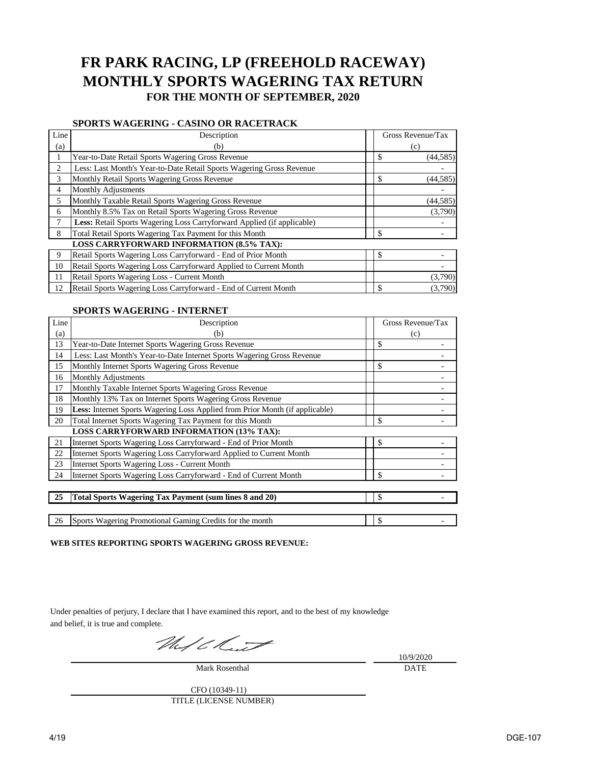# **FR PARK RACING, LP (FREEHOLD RACEWAY) MONTHLY SPORTS WAGERING TAX RETURN FOR THE MONTH OF SEPTEMBER, 2020**

## **SPORTS WAGERING - CASINO OR RACETRACK**

| Line           | Description                                                            | Gross Revenue/Tax |           |
|----------------|------------------------------------------------------------------------|-------------------|-----------|
| (a)            | (b)                                                                    | (c)               |           |
|                | Year-to-Date Retail Sports Wagering Gross Revenue                      | \$                | (44, 585) |
| $\overline{2}$ | Less: Last Month's Year-to-Date Retail Sports Wagering Gross Revenue   |                   |           |
| $\overline{3}$ | Monthly Retail Sports Wagering Gross Revenue                           | \$                | (44, 585) |
| $\overline{4}$ | Monthly Adjustments                                                    |                   |           |
| $\mathfrak{S}$ | Monthly Taxable Retail Sports Wagering Gross Revenue                   |                   | (44, 585) |
| 6              | Monthly 8.5% Tax on Retail Sports Wagering Gross Revenue               |                   | (3,790)   |
| 7              | Less: Retail Sports Wagering Loss Carryforward Applied (if applicable) |                   |           |
| 8              | Total Retail Sports Wagering Tax Payment for this Month                | \$                |           |
|                | <b>LOSS CARRYFORWARD INFORMATION (8.5% TAX):</b>                       |                   |           |
| 9              | Retail Sports Wagering Loss Carryforward - End of Prior Month          | \$                |           |
| 10             | Retail Sports Wagering Loss Carryforward Applied to Current Month      |                   |           |
| 11             | Retail Sports Wagering Loss - Current Month                            |                   | (3,790)   |
| 12             | Retail Sports Wagering Loss Carryforward - End of Current Month        | \$                | (3,790)   |

### **SPORTS WAGERING - INTERNET**

| Line | Description                                                                  | Gross Revenue/Tax |
|------|------------------------------------------------------------------------------|-------------------|
| (a)  | (b)                                                                          | (c)               |
| 13   | Year-to-Date Internet Sports Wagering Gross Revenue                          | \$                |
| 14   | Less: Last Month's Year-to-Date Internet Sports Wagering Gross Revenue       |                   |
| 15   | Monthly Internet Sports Wagering Gross Revenue                               | \$                |
| 16   | Monthly Adjustments                                                          |                   |
| 17   | Monthly Taxable Internet Sports Wagering Gross Revenue                       |                   |
| 18   | Monthly 13% Tax on Internet Sports Wagering Gross Revenue                    |                   |
| 19   | Less: Internet Sports Wagering Loss Applied from Prior Month (if applicable) |                   |
| 20   | Total Internet Sports Wagering Tax Payment for this Month                    | \$                |
|      | <b>LOSS CARRYFORWARD INFORMATION (13% TAX):</b>                              |                   |
| 21   | Internet Sports Wagering Loss Carryforward - End of Prior Month              | \$                |
| 22   | Internet Sports Wagering Loss Carryforward Applied to Current Month          |                   |
| 23   | <b>Internet Sports Wagering Loss - Current Month</b>                         |                   |
| 24   | Internet Sports Wagering Loss Carryforward - End of Current Month            | \$                |
|      |                                                                              |                   |
| 25   | <b>Total Sports Wagering Tax Payment (sum lines 8 and 20)</b>                | \$                |
|      |                                                                              |                   |
| 26   | Sports Wagering Promotional Gaming Credits for the month                     | \$                |

#### **WEB SITES REPORTING SPORTS WAGERING GROSS REVENUE:**

Under penalties of perjury, I declare that I have examined this report, and to the best of my knowledge and belief, it is true and complete.

Muf l Ku

Mark Rosenthal

10/9/2020 DATE

CFO (10349-11) TITLE (LICENSE NUMBER)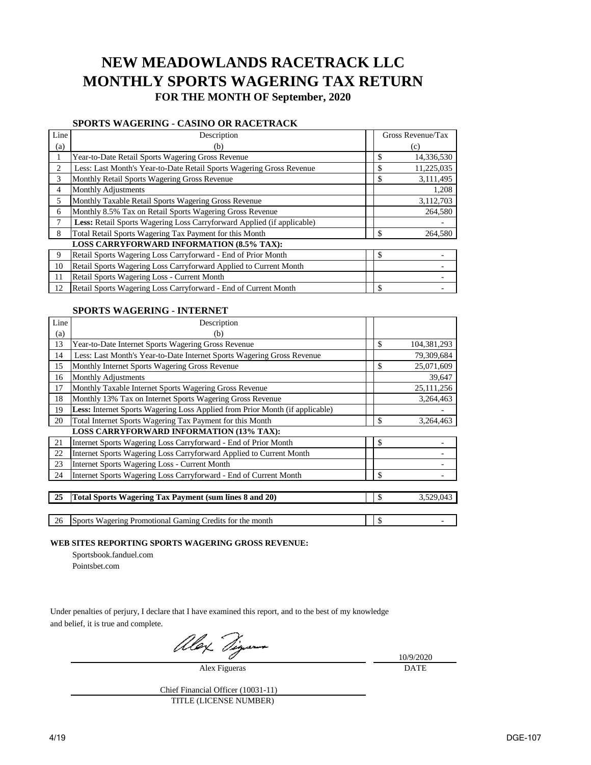# **NEW MEADOWLANDS RACETRACK LLC MONTHLY SPORTS WAGERING TAX RETURN FOR THE MONTH OF September, 2020**

## **SPORTS WAGERING - CASINO OR RACETRACK**

| Line           | Description                                                            |               | Gross Revenue/Tax |
|----------------|------------------------------------------------------------------------|---------------|-------------------|
| (a)            | (b)                                                                    |               | (c)               |
| $\mathbf{1}$   | Year-to-Date Retail Sports Wagering Gross Revenue                      | \$            | 14,336,530        |
| $\overline{2}$ | Less: Last Month's Year-to-Date Retail Sports Wagering Gross Revenue   | \$            | 11,225,035        |
| 3              | Monthly Retail Sports Wagering Gross Revenue                           | $\mathcal{S}$ | 3,111,495         |
| $\overline{4}$ | <b>Monthly Adjustments</b>                                             |               | 1,208             |
| 5              | Monthly Taxable Retail Sports Wagering Gross Revenue                   |               | 3,112,703         |
| 6              | Monthly 8.5% Tax on Retail Sports Wagering Gross Revenue               |               | 264,580           |
| 7              | Less: Retail Sports Wagering Loss Carryforward Applied (if applicable) |               |                   |
| 8              | Total Retail Sports Wagering Tax Payment for this Month                | \$            | 264,580           |
|                | <b>LOSS CARRYFORWARD INFORMATION (8.5% TAX):</b>                       |               |                   |
| 9              | Retail Sports Wagering Loss Carryforward - End of Prior Month          | \$            |                   |
| 10             | Retail Sports Wagering Loss Carryforward Applied to Current Month      |               |                   |
| 11             | Retail Sports Wagering Loss - Current Month                            |               |                   |
| 12             | Retail Sports Wagering Loss Carryforward - End of Current Month        | \$            |                   |

### **SPORTS WAGERING - INTERNET**

| Line                                            | Description                                                                  |  |               |             |  |  |
|-------------------------------------------------|------------------------------------------------------------------------------|--|---------------|-------------|--|--|
| (a)                                             | (b)                                                                          |  |               |             |  |  |
| 13                                              | Year-to-Date Internet Sports Wagering Gross Revenue                          |  | \$            | 104,381,293 |  |  |
| 14                                              | Less: Last Month's Year-to-Date Internet Sports Wagering Gross Revenue       |  |               | 79,309,684  |  |  |
| 15                                              | Monthly Internet Sports Wagering Gross Revenue                               |  | $\mathcal{S}$ | 25,071,609  |  |  |
| 16                                              | <b>Monthly Adjustments</b>                                                   |  |               | 39,647      |  |  |
| 17                                              | Monthly Taxable Internet Sports Wagering Gross Revenue                       |  |               | 25,111,256  |  |  |
| 18                                              | Monthly 13% Tax on Internet Sports Wagering Gross Revenue                    |  |               | 3,264,463   |  |  |
| 19                                              | Less: Internet Sports Wagering Loss Applied from Prior Month (if applicable) |  |               |             |  |  |
| 20                                              | Total Internet Sports Wagering Tax Payment for this Month                    |  | \$            | 3,264,463   |  |  |
| <b>LOSS CARRYFORWARD INFORMATION (13% TAX):</b> |                                                                              |  |               |             |  |  |
| 21                                              | Internet Sports Wagering Loss Carryforward - End of Prior Month              |  | \$            |             |  |  |
| 22                                              | Internet Sports Wagering Loss Carryforward Applied to Current Month          |  |               |             |  |  |
| 23                                              | <b>Internet Sports Wagering Loss - Current Month</b>                         |  |               |             |  |  |
| 24                                              | Internet Sports Wagering Loss Carryforward - End of Current Month            |  | \$            |             |  |  |
|                                                 |                                                                              |  |               |             |  |  |
| 25                                              | <b>Total Sports Wagering Tax Payment (sum lines 8 and 20)</b>                |  | $\mathcal{S}$ | 3,529,043   |  |  |
|                                                 |                                                                              |  |               |             |  |  |
| 26                                              | Sports Wagering Promotional Gaming Credits for the month                     |  | $\mathcal{S}$ |             |  |  |

**WEB SITES REPORTING SPORTS WAGERING GROSS REVENUE:**

Sportsbook.fanduel.com

Pointsbet.com

Under penalties of perjury, I declare that I have examined this report, and to the best of my knowledge and belief, it is true and complete.

alex

Alex Figueras

10/9/2020 DATE

Chief Financial Officer (10031-11)

TITLE (LICENSE NUMBER)